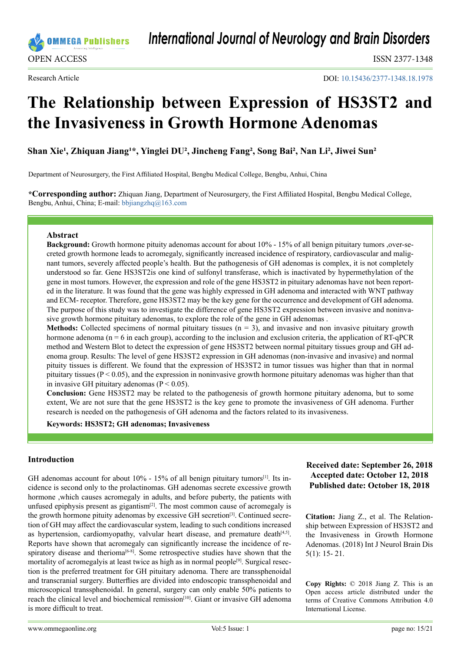

*International Journal of Neurology and Brain Disorders*

DOI: [10.15436/2377-1348.18.1](https://doi.org/10.15436/2377-1348.18.1978)978

# **The Relationship between Expression of HS3ST2 and the Invasiveness in Growth Hormone Adenomas**

Shan Xie<sup>1</sup>, Zhiquan Jiang<sup>1\*</sup>, Yinglei DU<sup>2</sup>, Jincheng Fang<sup>2</sup>, Song Bai<sup>2</sup>, Nan Li<sup>2</sup>, Jiwei Sun<sup>2</sup>

Department of Neurosurgery, the First Affiliated Hospital, Bengbu Medical College, Bengbu, Anhui, China

**\*Corresponding author:** Zhiquan Jiang, Department of Neurosurgery, the First Affiliated Hospital, Bengbu Medical College, Bengbu, Anhui, China; E-mail: [bbjiangzhq@163.com](mailto:bbjiangzhq%40163.com?subject=)

#### **Abstract**

**Background:** Growth hormone pituity adenomas account for about 10% - 15% of all benign pituitary tumors ,over-secreted growth hormone leads to acromegaly, significantly increased incidence of respiratory, cardiovascular and malignant tumors, severely affected people's health. But the pathogenesis of GH adenomas is complex, it is not completely understood so far. Gene HS3ST2is one kind of sulfonyl transferase, which is inactivated by hypermethylation of the gene in most tumors. However, the expression and role of the gene HS3ST2 in pituitary adenomas have not been reported in the literature. It was found that the gene was highly expressed in GH adenoma and interacted with WNT pathway and ECM- receptor. Therefore, gene HS3ST2 may be the key gene for the occurrence and development of GH adenoma. The purpose of this study was to investigate the difference of gene HS3ST2 expression between invasive and noninvasive growth hormone pituitary adenomas, to explore the role of the gene in GH adenomas .

**Methods:** Collected specimens of normal pituitary tissues  $(n = 3)$ , and invasive and non invasive pituitary growth hormone adenoma (n = 6 in each group), according to the inclusion and exclusion criteria, the application of RT-qPCR method and Western Blot to detect the expression of gene HS3ST2 between normal pituitary tissues group and GH adenoma group. Results: The level of gene HS3ST2 expression in GH adenomas (non-invasive and invasive) and normal pituity tissues is different. We found that the expression of HS3ST2 in tumor tissues was higher than that in normal pituitary tissues ( $P < 0.05$ ), and the expression in noninvasive growth hormone pituitary adenomas was higher than that in invasive GH pituitary adenomas ( $P < 0.05$ ).

**Conclusion:** Gene HS3ST2 may be related to the pathogenesis of growth hormone pituitary adenoma, but to some extent, We are not sure that the gene HS3ST2 is the key gene to promote the invasiveness of GH adenoma. Further research is needed on the pathogenesis of GH adenoma and the factors related to its invasiveness.

**Keywords: HS3ST2; GH adenomas; Invasiveness**

#### **Introduction**

GH adenomas account for about  $10\%$  -  $15\%$  of all benign pituitary tumors<sup>[\[1\]](#page-4-0)</sup>. Its incidence is second only to the prolactinomas. GH adenomas secrete excessive growth hormone ,which causes acromegaly in adults, and before puberty, the patients with unfused epiphysis present as gigantism $[2]$ . The most common cause of acromegaly is the growth hormone pituity adenomas by excessive  $GH$  secretion<sup>[\[3\]](#page-4-2)</sup>. Continued secretion of GH may affect the cardiovascular system, leading to such conditions increased as hypertension, cardiomyopathy, valvular heart disease, and premature death<sup>[4,5]</sup>. Reports have shown that acromegaly can significantly increase the incidence of re-spiratory disease and therioma<sup>[\[6-8\]](#page-4-4)</sup>. Some retrospective studies have shown that the mortality of acromegalyis at least twice as high as in normal people<sup>[9]</sup>. Surgical resection is the preferred treatment for GH pituitary adenoma. There are transsphenoidal and transcranial surgery. Butterflies are divided into endoscopic transsphenoidal and microscopical transsphenoidal. In general, surgery can only enable 50% patients to reach the clinical level and biochemical remission<sup>[\[10\]](#page-4-6)</sup>. Giant or invasive GH adenoma is more difficult to treat.

# **Received date: September 26, 2018 Accepted date: October 12, 2018 Published date: October 18, 2018**

**Citation:** Jiang Z., et al. The Relationship between Expression of HS3ST2 and the Invasiveness in Growth Hormone Adenomas. (2018) Int J Neurol Brain Dis 5(1): 15- 21.

**Copy Rights:** © 2018 Jiang Z. This is an Open access article distributed under the terms of Creative Commons Attribution 4.0 International License.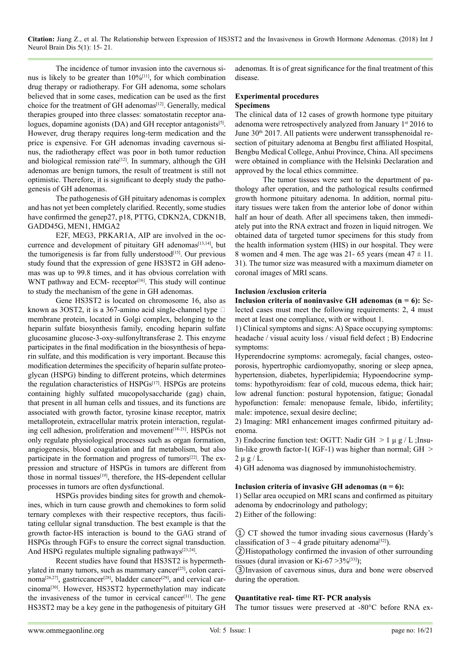**Citation:** Jiang Z., et al. The Relationship between Expression of HS3ST2 and the Invasiveness in Growth Hormone Adenomas. (2018) Int J Neurol Brain Dis 5(1): 15- 21.

The incidence of tumor invasion into the cavernous sinus is likely to be greater than  $10\%$ <sup>[11]</sup>, for which combination drug therapy or radiotherapy. For GH adenoma, some scholars believed that in some cases, medication can be used as the first choice for the treatment of GH adenomas<sup>[12]</sup>. Generally, medical therapies grouped into three classes: somatostatin receptor analogues, dopamine agonists  $(DA)$  and GH receptor antagonists<sup>[5]</sup>. However, drug therapy requires long-term medication and the price is expensive. For GH adenomas invading cavernous sinus, the radiotherapy effect was poor in both tumor reduction and biological remission rate<sup>[12]</sup>. In summary, although the GH adenomas are benign tumors, the result of treatment is still not optimistic. Therefore, it is significant to deeply study the pathogenesis of GH adenomas.

The pathogenesis of GH pituitary adenomas is complex and has not yet been completely clarified. Recently, some studies have confirmed the genep27, p18, PTTG, CDKN2A, CDKN1B, GADD45G, MEN1, HMGA2

E2F, MEG3, PRKAR1A, AIP are involved in the occurrence and development of pituitary GH adenomas<sup>[13,14]</sup>, but the tumorigenesis is far from fully understood $[15]$ . Our previous study found that the expression of gene HS3ST2 in GH adenomas was up to 99.8 times, and it has obvious correlation with WNT pathway and ECM- receptor<sup>[\[16\]](#page-5-1)</sup>. This study will continue to study the mechanism of the gene in GH adenomas.

Gene HS3ST2 is located on chromosome 16, also as known as 3OST2, it is a 367-amino acid single-channel type  $\Box$ membrane protein, located in Golgi complex, belonging to the heparin sulfate biosynthesis family, encoding heparin sulfate glucosamine glucose-3-oxy-sulfonyltransferase 2. This enzyme participates in the final modification in the biosynthesis of heparin sulfate, and this modification is very important. Because this modification determines the specificity of heparin sulfate proteoglycan (HSPG) binding to different proteins, which determines the regulation characteristics of HSPGs<sup>[17]</sup>. HSPGs are proteins containing highly sulfated mucopolysaccharide (gag) chain, that present in all human cells and tissues, and its functions are associated with growth factor, tyrosine kinase receptor, matrix metalloprotein, extracellular matrix protein interaction, regulating cell adhesion, proliferation and movement<sup>[18-21]</sup>. HSPGs not only regulate physiological processes such as organ formation, angiogenesis, blood coagulation and fat metabolism, but also participate in the formation and progress of tumors $[22]$ . The expression and structure of HSPGs in tumors are different from those in normal tissues $[19]$ , therefore, the HS-dependent cellular processes in tumors are often dysfunctional.

HSPGs provides binding sites for growth and chemokines, which in turn cause growth and chemokines to form solid ternary complexes with their respective receptors, thus facilitating cellular signal transduction. The best example is that the growth factor-HS interaction is bound to the GAG strand of HSPGs through FGFs to ensure the correct signal transduction. And HSPG regulates multiple signaling pathways<sup>[23,24]</sup>.

Recent studies have found that HS3ST2 is hypermethylated in many tumors, such as mammary cancer<sup>[25]</sup>, colon carci-noma<sup>[26,27]</sup>, gastriccancer<sup>[\[28\]](#page-5-9)</sup>, bladder cancer<sup>[29]</sup>, and cervical carcinom[a\[30\]](#page-5-11). However, HS3ST2 hypermethylation may indicate the invasiveness of the tumor in cervical cancer<sup>[31]</sup>. The gene HS3ST2 may be a key gene in the pathogenesis of pituitary GH

adenomas. It is of great significance for the final treatment of this disease.

## **Experimental procedures Specimens**

The clinical data of 12 cases of growth hormone type pituitary adenoma were retrospectively analyzed from January 1<sup>st</sup> 2016 to June 30<sup>th</sup> 2017. All patients were underwent transsphenoidal resection of pituitary adenoma at Bengbu first affiliated Hospital, Bengbu Medical College, Anhui Province, China. All specimens were obtained in compliance with the Helsinki Declaration and approved by the local ethics committee.

The tumor tissues were sent to the department of pathology after operation, and the pathological results confirmed growth hormone pituitary adenoma. In addition, normal pituitary tissues were taken from the anterior lobe of donor within half an hour of death. After all specimens taken, then immediately put into the RNA extract and frozen in liquid nitrogen. We obtained data of targeted tumor specimens for this study from the health information system (HIS) in our hospital. They were 8 women and 4 men. The age was 21- 65 years (mean  $47 \pm 11$ . 31). The tumor size was measured with a maximum diameter on coronal images of MRI scans.

## **Inclusion /exclusion criteria**

**Inclusion criteria of noninvasive GH adenomas (n = 6):** Selected cases must meet the following requirements: 2, 4 must meet at least one compliance, with or without 1.

1) Clinical symptoms and signs: A) Space occupying symptoms: headache / visual acuity loss / visual field defect ; B) Endocrine symptoms:

Hyperendocrine symptoms: acromegaly, facial changes, osteoporosis, hypertrophic cardiomyopathy, snoring or sleep apnea, hypertension, diabetes, hyperlipidemia; Hypoendocrine symptoms: hypothyroidism: fear of cold, mucous edema, thick hair; low adrenal function: postural hypotension, fatigue; Gonadal hypofunction: female: menopause female, libido, infertility; male: impotence, sexual desire decline;

2) Imaging: MRI enhancement images confirmed pituitary adenoma.

3) Endocrine function test: OGTT: Nadir GH  $> 1 \mu g/L$ ; Insulin-like growth factor-1( IGF-1) was higher than normal; GH >  $2 \mu g / L$ .

4) GH adenoma was diagnosed by immunohistochemistry.

#### **Inclusion criteria of invasive GH adenomas (n = 6):**

1) Sellar area occupied on MRI scans and confirmed as pituitary adenoma by endocrinology and pathology;

2) Either of the following:

① CT showed the tumor invading sious cavernosus (Hardy's classification of  $3 \sim 4$  grade pituitary adenoma<sup>[32]</sup>).

②Histopathology confirmed the invasion of other surrounding tissues (dural invasion or Ki-67  $>3\%/533}$ );

③Invasion of cavernous sinus, dura and bone were observed during the operation.

#### **Quantitative real- time RT- PCR analysis**

The tumor tissues were preserved at -80°C before RNA ex-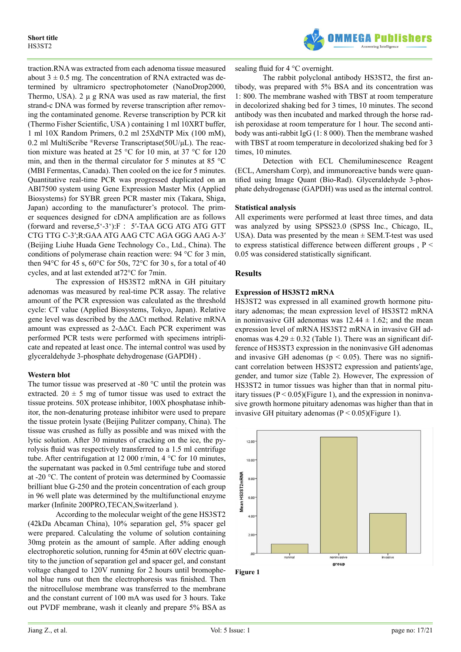

traction.RNA was extracted from each adenoma tissue measured about  $3 \pm 0.5$  mg. The concentration of RNA extracted was determined by ultramicro spectrophotometer (NanoDrop2000, Thermo, USA).  $2 \mu g RNA$  was used as raw material, the first strand-c DNA was formed by reverse transcription after removing the contaminated genome. Reverse transcription by PCR kit (Thermo Fisher Scientific, USA ) containing 1 ml 10XRT buffer, 1 ml 10X Random Primers, 0.2 ml 25XdNTP Mix (100 mM), 0.2 ml MultiScribe ®Reverse Transcriptase( $50U/\mu L$ ). The reaction mixture was heated at 25 °C for 10 min, at 37 °C for 120 min, and then in the thermal circulator for 5 minutes at 85 °C (MBI Fermentas, Canada). Then cooled on the ice for 5 minutes. Quantitative real-time PCR was progressed duplicated on an ABI7500 system using Gene Expression Master Mix (Applied Biosystems) for SYBR green PCR master mix (Takara, Shiga, Japan) according to the manufacturer's protocol. The primer sequences designed for cDNA amplification are as follows (forward and reverse,  $5^{\circ}$ - $3^{\circ}$ ): F :  $5'$ -TAA GCG ATG ATG GTT CTG TTG C-3′;R:GAA ATG AAG CTC AGA GGG AAG A-3′ (Beijing Liuhe Huada Gene Technology Co., Ltd., China). The conditions of polymerase chain reaction were: 94 °C for 3 min, then 94 $\rm ^{o}C$  for 45 s, 60 $\rm ^{o}C$  for 50s, 72 $\rm ^{o}C$  for 30 s, for a total of 40 cycles, and at last extended at72°C for 7min.

The expression of HS3ST2 mRNA in GH pituitary adenomas was measured by real-time PCR assay. The relative amount of the PCR expression was calculated as the threshold cycle: CT value (Applied Biosystems, Tokyo, Japan). Relative gene level was described by the ΔΔCt method. Relative mRNA amount was expressed as 2-ΔΔCt. Each PCR experiment was performed PCR tests were performed with specimens intriplicate and repeated at least once. The internal control was used by glyceraldehyde 3-phosphate dehydrogenase (GAPDH) .

#### **Western blot**

The tumor tissue was preserved at -80 °C until the protein was extracted. 20  $\pm$  5 mg of tumor tissue was used to extract the tissue proteins. 50X protease inhibitor, 100X phosphatase inhibitor, the non-denaturing protease inhibitor were used to prepare the tissue protein lysate (Beijing Pulitzer company, China). The tissue was crushed as fully as possible and was mixed with the lytic solution. After 30 minutes of cracking on the ice, the pyrolysis fluid was respectively transferred to a 1.5 ml centrifuge tube. After centrifugation at 12 000 r/min, 4 °C for 10 minutes, the supernatant was packed in 0.5ml centrifuge tube and stored at -20 °C. The content of protein was determined by Coomassie brilliant blue G-250 and the protein concentration of each group in 96 well plate was determined by the multifunctional enzyme marker (Infinite 200PRO,TECAN,Switzerland ).

According to the molecular weight of the gene HS3ST2 (42kDa Abcaman China), 10% separation gel, 5% spacer gel were prepared. Calculating the volume of solution containing 30mg protein as the amount of sample. After adding enough electrophoretic solution, running for 45min at 60V electric quantity to the junction of separation gel and spacer gel, and constant voltage changed to 120V running for 2 hours until bromophenol blue runs out then the electrophoresis was finished. Then the nitrocellulose membrane was transferred to the membrane and the constant current of 100 mA was used for 3 hours. Take out PVDF membrane, wash it cleanly and prepare 5% BSA as sealing fluid for 4 °C overnight.

The rabbit polyclonal antibody HS3ST2, the first antibody, was prepared with 5% BSA and its concentration was 1: 800. The membrane washed with TBST at room temperature in decolorized shaking bed for 3 times, 10 minutes. The second antibody was then incubated and marked through the horse radish peroxidase at room temperature for 1 hour. The second antibody was anti-rabbit IgG (1: 8 000). Then the membrane washed with TBST at room temperature in decolorized shaking bed for 3 times, 10 minutes.

Detection with ECL Chemiluminescence Reagent (ECL, Amersham Corp), and immunoreactive bands were quantified using Image Quant (Bio-Rad). Glyceraldehyde 3-phosphate dehydrogenase (GAPDH) was used as the internal control.

#### **Statistical analysis**

All experiments were performed at least three times, and data was analyzed by using SPSS23.0 (SPSS Inc., Chicago, IL, USA). Data was presented by the mean  $\pm$  SEM.T-test was used to express statistical difference between different groups,  $P \leq$ 0.05 was considered statistically significant.

## **Results**

## **Expression of HS3ST2 mRNA**

HS3ST2 was expressed in all examined growth hormone pituitary adenomas; the mean expression level of HS3ST2 mRNA in noninvasive GH adenomas was  $12.44 \pm 1.62$ ; and the mean expression level of mRNA HS3ST2 mRNA in invasive GH adenomas was  $4.29 \pm 0.32$  (Table 1). There was an significant difference of HS3ST3 expression in the noninvasive GH adenomas and invasive GH adenomas ( $p < 0.05$ ). There was no significant correlation between HS3ST2 expression and patients′age, gender, and tumor size (Table 2). However, The expression of HS3ST2 in tumor tissues was higher than that in normal pituitary tissues  $(P < 0.05)$  (Figure 1), and the expression in noninvasive growth hormone pituitary adenomas was higher than that in invasive GH pituitary adenomas  $(P < 0.05)$ (Figure 1).



**Figure 1**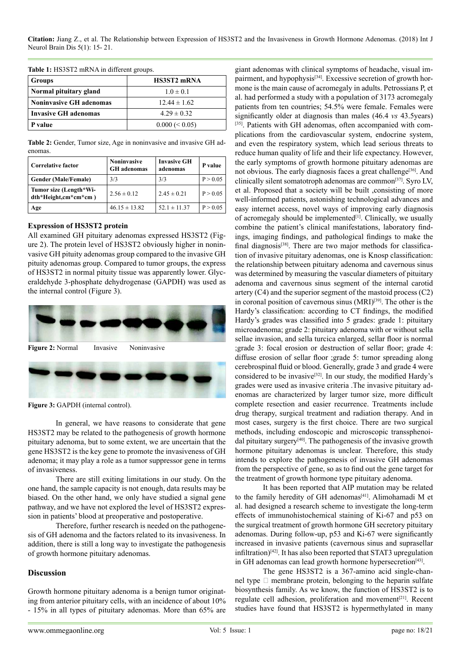**Citation:** Jiang Z., et al. The Relationship between Expression of HS3ST2 and the Invasiveness in Growth Hormone Adenomas. (2018) Int J Neurol Brain Dis 5(1): 15- 21.

**Table 1:** HS3ST2 mRNA in different groups.

| Groups                         | <b>HS3ST2 mRNA</b> |  |
|--------------------------------|--------------------|--|
| Normal pituitary gland         | $1.0 \pm 0.1$      |  |
| <b>Noninvasive GH adenomas</b> | $12.44 \pm 1.62$   |  |
| Invasive GH adenomas           | $4.29 \pm 0.32$    |  |
| P value                        | $0.000 \le 0.05$   |  |

**Table 2:** Gender, Tumor size, Age in noninvasive and invasive GH adenomas.

| Correlative factor                             | <b>Noninvasive</b><br><b>GH</b> adenomas | <b>Invasive GH</b><br>adenomas | P value  |
|------------------------------------------------|------------------------------------------|--------------------------------|----------|
| <b>Gender (Male/Female)</b>                    | 3/3                                      | 3/3                            | P > 0.05 |
| Tumor size (Length*Wi-<br>dth*Height,cm*cm*cm) | $2.56 \pm 0.12$                          | $2.45 \pm 0.21$                | P > 0.05 |
| Age                                            | $46.15 \pm 13.82$                        | $52.1 \pm 11.37$               | P > 0.05 |

#### **Expression of HS3ST2 protein**

All examined GH pituitary adenomas expressed HS3ST2 (Figure 2). The protein level of HS3ST2 obviously higher in noninvasive GH pituity adenomas group compared to the invasive GH pituity adenomas group. Compared to tumor groups, the express of HS3ST2 in normal pituity tissue was apparently lower. Glyceraldehyde 3-phosphate dehydrogenase (GAPDH) was used as the internal control (Figure 3).



**Figure 2:** Normal Invasive Noninvasive



**Figure 3:** GAPDH (internal control).

In general, we have reasons to considerate that gene HS3ST2 may be related to the pathogenesis of growth hormone pituitary adenoma, but to some extent, we are uncertain that the gene HS3ST2 is the key gene to promote the invasiveness of GH adenoma; it may play a role as a tumor suppressor gene in terms of invasiveness.

There are still exiting limitations in our study. On the one hand, the sample capacity is not enough, data results may be biased. On the other hand, we only have studied a signal gene pathway, and we have not explored the level of HS3ST2 expression in patients' blood at preoperative and postoperative.

Therefore, further research is needed on the pathogenesis of GH adenoma and the factors related to its invasiveness. In addition, there is still a long way to investigate the pathogenesis of growth hormone pituitary adenomas.

#### **Discussion**

Growth hormone pituitary adenoma is a benign tumor originating from anterior pituitary cells, with an incidence of about 10% - 15% in all types of pituitary adenomas. More than 65% are giant adenomas with clinical symptoms of headache, visual impairment, and hypophysis<sup>[34]</sup>. Excessive secretion of growth hormone is the main cause of acromegaly in adults. Petrossians P, et al. had performed a study with a population of 3173 acromegaly patients from ten countries; 54.5% were female. Females were significantly older at diagnosis than males (46.4 *vs* 43.5years) [\[35\]](#page-5-16). Patients with GH adenomas, often accompanied with complications from the cardiovascular system, endocrine system, and even the respiratory system, which lead serious threats to reduce human quality of life and their life expectancy. However, the early symptoms of growth hormone pituitary adenomas are not obvious. The early diagnosis faces a great challenge<sup>[36]</sup>. And clinically silent somatotroph adenomas are common<sup>[37]</sup>. Syro LV, et al. Proposed that a society will be built ,consisting of more well-informed patients, astonishing technological advances and easy internet access, novel ways of improving early diagnosis of acromegaly should be implemented $[1]$ . Clinically, we usually combine the patient's clinical manifestations, laboratory findings, imaging findings, and pathological findings to make the final diagnosis<sup>[\[38\]](#page-6-1)</sup>. There are two major methods for classification of invasive pituitary adenomas, one is Knosp classification: the relationship between pituitary adenoma and cavernous sinus was determined by measuring the vascular diameters of pituitary adenoma and cavernous sinus segment of the internal carotid artery (C4) and the superior segment of the mastoid process (C2) in coronal position of cavernous sinus  $(MRI)^{[39]}$ . The other is the Hardy's classification: according to CT findings, the modified Hardy's grades was classified into 5 grades: grade 1: pituitary microadenoma; grade 2: pituitary adenoma with or without sella sellae invasion, and sella turcica enlarged, sellar floor is normal ;grade 3: focal erosion or destruction of sellar floor; grade 4: diffuse erosion of sellar floor ;grade 5: tumor spreading along cerebrospinal fluid or blood. Generally, grade 3 and grade 4 were considered to be invasive<sup>[\[32\]](#page-5-13)</sup>. In our study, the modified Hardy's grades were used as invasive criteria .The invasive pituitary adenomas are characterized by larger tumor size, more difficult complete resection and easier recurrence. Treatments include drug therapy, surgical treatment and radiation therapy. And in most cases, surgery is the first choice. There are two surgical methods, including endoscopic and microscopic transsphenoidal pituitary surger[y\[40\].](#page-6-3) The pathogenesis of the invasive growth hormone pituitary adenomas is unclear. Therefore, this study intends to explore the pathogenesis of invasive GH adenomas from the perspective of gene, so as to find out the gene target for the treatment of growth hormone type pituitary adenoma.

It has been reported that AIP mutation may be related to the family heredity of GH adenomas<sup>[41]</sup>. Alimohamadi M et al. had designed a research scheme to investigate the long-term effects of immunohistochemical staining of Ki-67 and p53 on the surgical treatment of growth hormone GH secretory pituitary adenomas. During follow-up, p53 and Ki-67 were significantly increased in invasive patients (cavernous sinus and suprasellar infiltration)[\[42\].](#page-6-5) It has also been reported that STAT3 upregulation in GH adenomas can lead growth hormone hypersecretion<sup>[\[43\]](#page-6-6)</sup>.

The gene HS3ST2 is a 367-amino acid single-channel type  $\Box$  membrane protein, belonging to the heparin sulfate biosynthesis family. As we know, the function of HS3ST2 is to regulate cell adhesion, proliferation and movement<sup>[21]</sup>. Recent studies have found that HS3ST2 is hypermethylated in many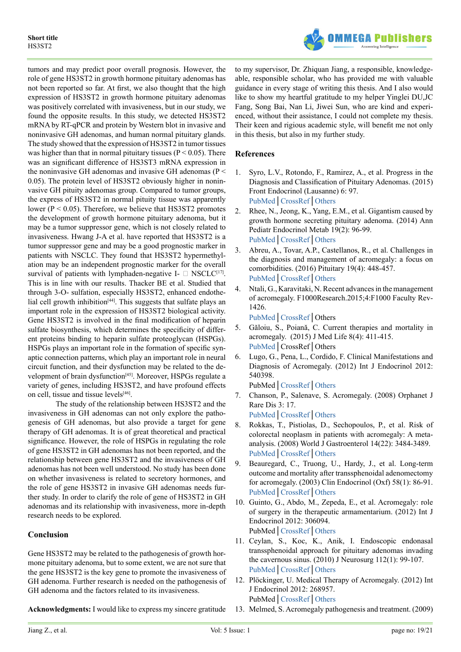

tumors and may predict poor overall prognosis. However, the role of gene HS3ST2 in growth hormone pituitary adenomas has not been reported so far. At first, we also thought that the high expression of HS3ST2 in growth hormone pituitary adenomas was positively correlated with invasiveness, but in our study, we found the opposite results. In this study, we detected HS3ST2 mRNA by RT-qPCR and protein by Western blot in invasive and noninvasive GH adenomas, and human normal pituitary glands. The study showed that the expression of HS3ST2 in tumor tissues was higher than that in normal pituitary tissues ( $P < 0.05$ ). There was an significant difference of HS3ST3 mRNA expression in the noninvasive GH adenomas and invasive GH adenomas (P < 0.05). The protein level of HS3ST2 obviously higher in noninvasive GH pituity adenomas group. Compared to tumor groups, the express of HS3ST2 in normal pituity tissue was apparently lower ( $P < 0.05$ ). Therefore, we believe that HS3ST2 promotes the development of growth hormone pituitary adenoma, but it may be a tumor suppressor gene, which is not closely related to invasiveness. Hwang J-A et al. have reported that HS3ST2 is a tumor suppressor gene and may be a good prognostic marker in patients with NSCLC. They found that HS3ST2 hypermethylation may be an independent prognostic marker for the overall survival of patients with lymphaden-negative I-  $\Box$  NSCLC<sup>[\[17\]](#page-5-2)</sup>. This is in line with our results. Thacker BE et al. Studied that through 3-O- sulfation, especially HS3ST2, enhanced endothelial cell growth inhibition $[44]$ . This suggests that sulfate plays an important role in the expression of HS3ST2 biological activity. Gene HS3ST2 is involved in the final modification of heparin sulfate biosynthesis, which determines the specificity of different proteins binding to heparin sulfate proteoglycan (HSPGs). HSPGs plays an important role in the formation of specific synaptic connection patterns, which play an important role in neural circuit function, and their dysfunction may be related to the de-velopment of brain dysfunction<sup>[\[45\]](#page-6-8)</sup>. Moreover, HSPGs regulate a variety of genes, including HS3ST2, and have profound effects on cell, tissue and tissue levels[\[46\]](#page-6-9).

The study of the relationship between HS3ST2 and the invasiveness in GH adenomas can not only explore the pathogenesis of GH adenomas, but also provide a target for gene therapy of GH adenomas. It is of great theoretical and practical significance. However, the role of HSPGs in regulating the role of gene HS3ST2 in GH adenomas has not been reported, and the relationship between gene HS3ST2 and the invasiveness of GH adenomas has not been well understood. No study has been done on whether invasiveness is related to secretory hormones, and the role of gene HS3ST2 in invasive GH adenomas needs further study. In order to clarify the role of gene of HS3ST2 in GH adenomas and its relationship with invasiveness, more in-depth research needs to be explored.

# **Conclusion**

Gene HS3ST2 may be related to the pathogenesis of growth hormone pituitary adenoma, but to some extent, we are not sure that the gene HS3ST2 is the key gene to promote the invasiveness of GH adenoma. Further research is needed on the pathogenesis of GH adenoma and the factors related to its invasiveness.

**Acknowledgments:** I would like to express my sincere gratitude

to my supervisor, Dr. Zhiquan Jiang, a responsible, knowledgeable, responsible scholar, who has provided me with valuable guidance in every stage of writing this thesis. And I also would like to show my heartful gratitude to my helper Yinglei DU,JC Fang, Song Bai, Nan Li, Jiwei Sun, who are kind and experienced, without their assistance, I could not complete my thesis. Their keen and rigious academic style, will benefit me not only in this thesis, but also in my further study.

# **References**

- <span id="page-4-0"></span>1. Syro, L.V., Rotondo, F., Ramirez, A., et al. Progress in the Diagnosis and Classification of Pituitary Adenomas. (2015) Front Endocrinol (Lausanne) 6: 97. [PubMed│](https://www.ncbi.nlm.nih.gov/pubmed/26124750)[CrossRef](https://doi.org/10.3389/fendo.2015.00097)│[Others](https://www.frontiersin.org/articles/10.3389/fendo.2015.00097/full)
- <span id="page-4-1"></span>2. Rhee, N., Jeong, K., Yang, E.M., et al. Gigantism caused by growth hormone secreting pituitary adenoma. (2014) Ann Pediatr Endocrinol Metab 19(2): 96-99. [PubMed│](https://www.ncbi.nlm.nih.gov/pubmed/25077093)[CrossRef](https://doi.org/10.6065/apem.2014.19.2.96)│[Others](https://e-apem.org/journal/view.php?doi=10.6065/apem.2014.19.2.96)
- <span id="page-4-2"></span>3. Abreu, A., Tovar, A.P., Castellanos, R., et al. Challenges in the diagnosis and management of acromegaly: a focus on comorbidities. (2016) Pituitary 19(4): 448-457. [PubMed│](https://www.ncbi.nlm.nih.gov/pubmed/27279011)[CrossRef](https://doi.org/10.1007/s11102-016-0725-2)│[Others](https://link.springer.com/article/10.1007%2Fs11102-016-0725-2)
- <span id="page-4-3"></span>4. Ntali, G., Karavitaki, N. Recent advances in the management of acromegaly. F1000Research.2015;4:F1000 Faculty Rev-1426.
	- [PubMed│](https://www.ncbi.nlm.nih.gov/pmc/articles/PMC4754011/)[CrossRef](https://dx.doi.org/10.12688%2Ff1000research.7043.1)│Others
- <span id="page-4-9"></span>5. Găloiu, S., Poiană, C. Current therapies and mortality in acromegaly. (2015) J Med Life 8(4): 411-415. [PubMed│](https://www.ncbi.nlm.nih.gov/pubmed/26664461)CrossRef│Others
- <span id="page-4-4"></span>6. Lugo, G., Pena, L., Cordido, F. Clinical Manifestations and Diagnosis of Acromegaly. (2012) Int J Endocrinol 2012: 540398.
	- PubMed│[CrossRef](http://dx.doi.org/10.1155/2012/540398)│[Others](https://www.hindawi.com/journals/ije/2012/540398/)
- 7. Chanson, P., Salenave, S. Acromegaly. (2008) Orphanet J Rare Dis 3: 17.
- [PubMed│](https://www.ncbi.nlm.nih.gov/pubmed/18578866)[CrossRef](https://doi.org/10.1186/1750-1172-3-17)│[Others](https://ojrd.biomedcentral.com/articles/10.1186/1750-1172-3-17) 8. Rokkas, T., Pistiolas, D., Sechopoulos, P., et al. Risk of colorectal neoplasm in patients with acromegaly: A metaanalysis. (2008) World J Gastroenterol 14(22): 3484-3489. [PubMed│](https://www.ncbi.nlm.nih.gov/pubmed/18567075)[CrossRef](http://dx.doi.org/10.3748/wjg.14.3484)│[Others](https://www.wjgnet.com/1007-9327/full/v14/i22/3484.htm)
- <span id="page-4-5"></span>9. Beauregard, C., Truong, U., Hardy, J., et al. Long-term outcome and mortality after transsphenoidal adenomectomy for acromegaly. (2003) Clin Endocrinol (Oxf) 58(1): 86-91. [PubMed│](https://www.ncbi.nlm.nih.gov/pubmed/12519417)[CrossRef](https://doi.org/10.1046/j.1365-2265.2003.01679.x)│[Others](https://onlinelibrary.wiley.com/doi/abs/10.1046/j.1365-2265.2003.01679.x)
- <span id="page-4-6"></span>10. Guinto, G., Abdo, M., Zepeda, E., et al. Acromegaly: role of surgery in the therapeutic armamentarium. (2012) Int J Endocrinol 2012: 306094. PubMed│[CrossRef](http://dx.doi.org/10.1155/2012/306094)│[Others](https://www.hindawi.com/journals/ije/2012/306094/)
- <span id="page-4-7"></span>11. Ceylan, S., Koc, K., Anik, I. Endoscopic endonasal transsphenoidal approach for pituitary adenomas invading the cavernous sinus. (2010) J Neurosurg 112(1): 99-107. [PubMed│](https://www.ncbi.nlm.nih.gov/pubmed/19480546)[CrossRef](https://doi.org/10.3171/2009.4.JNS09182)│Others
- <span id="page-4-8"></span>12. Plöckinger, U. Medical Therapy of Acromegaly. (2012) Int J Endocrinol 2012: 268957. PubMed│[CrossRef](http://dx.doi.org/10.1155/2012/268957)│[Others](https://www.hindawi.com/journals/ije/2012/268957/)
- <span id="page-4-10"></span>13. Melmed, S. Acromegaly pathogenesis and treatment. (2009)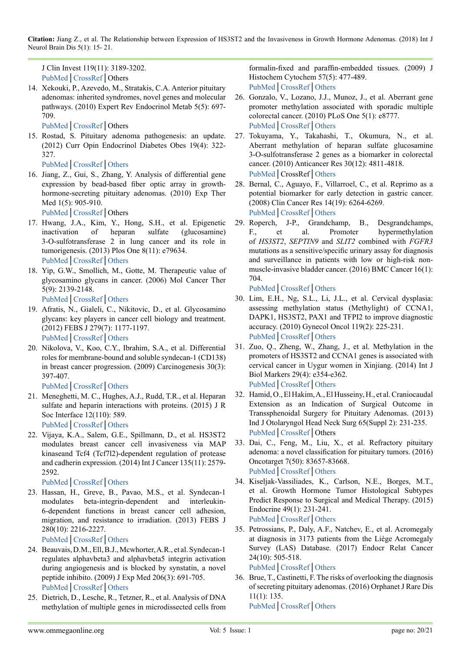**Citation:** Jiang Z., et al. The Relationship between Expression of HS3ST2 and the Invasiveness in Growth Hormone Adenomas. (2018) Int J Neurol Brain Dis 5(1): 15- 21.

J Clin Invest 119(11): 3189-3202. [PubMed│](https://www.ncbi.nlm.nih.gov/pmc/articles/PMC2769196/)[CrossRef](https://dx.doi.org/10.1172%2FJCI39375)│Others

14. Xekouki, P., Azevedo, M., Stratakis, C.A. Anterior pituitary adenomas: inherited syndromes, novel genes and molecular pathways. (2010) Expert Rev Endocrinol Metab 5(5): 697- 709.

<span id="page-5-0"></span>[PubMed│](https://www.ncbi.nlm.nih.gov/pubmed/21264206)[CrossRef](https://doi.org/10.1586/eem.10.47)│Others

15. Rostad, S. Pituitary adenoma pathogenesis: an update. (2012) Curr Opin Endocrinol Diabetes Obes 19(4): 322- 327.

<span id="page-5-1"></span>[PubMed│](https://www.ncbi.nlm.nih.gov/pubmed/22617628)[CrossRef](https://doi.org/10.1097/MED.0b013e328354b2e2)│[Others](https://insights.ovid.com/pubmed?pmid=22617628)

16. Jiang, Z., Gui, S., Zhang, Y. Analysis of differential gene expression by bead-based fiber optic array in growthhormone-secreting pituitary adenomas. (2010) Exp Ther Med  $1(5)$ : 905-910.

<span id="page-5-2"></span>[PubMed│](https://www.ncbi.nlm.nih.gov/pubmed/22993617)[CrossRef](https://doi.org/10.3892/etm.2010.137)│Others

- 17. Hwang, J.A., Kim, Y., Hong, S.H., et al. Epigenetic inactivation of heparan sulfate (glucosamine) 3-O-sulfotransferase 2 in lung cancer and its role in tumorigenesis. (2013) Plos One 8(11): e79634. [PubMed│](https://www.ncbi.nlm.nih.gov/pubmed/24265783)CrossRef│[Others](https://journals.plos.org/plosone/article?id=10.1371/journal.pone.0079634)
- <span id="page-5-3"></span>18. Yip, G.W., Smollich, M., Gotte, M. Therapeutic value of glycosamino glycans in cancer. (2006) Mol Cancer Ther 5(9): 2139-2148.

<span id="page-5-5"></span>[PubMed│](https://www.ncbi.nlm.nih.gov/pubmed/16985046)[CrossRef](https://doi.org/10.1158/1535-7163.MCT-06-0082)│[Others](http://mct.aacrjournals.org/content/5/9/2139)

- 19. Afratis, N., Gialeli, C., Nikitovic, D., et al. Glycosamino glycans: key players in cancer cell biology and treatment. (2012) FEBS J 279(7): 1177-1197. [PubMed│](https://www.ncbi.nlm.nih.gov/pubmed/22333131)[CrossRef](https://doi.org/10.1111/j.1742-4658.2012.08529.x)│[Others](https://febs.onlinelibrary.wiley.com/doi/10.1111/j.1742-4658.2012.08529.x)
- 20. Nikolova, V., Koo, C.Y., Ibrahim, S.A., et al. Differential roles for membrane-bound and soluble syndecan-1 (CD138) in breast cancer progression. (2009) Carcinogenesis 30(3): 397-407.

<span id="page-5-18"></span>[PubMed│](https://www.ncbi.nlm.nih.gov/pubmed/19126645)[CrossRef](https://doi.org/10.1093/carcin/bgp001)│[Others](https://academic.oup.com/carcin/article/30/3/397/2476714)

- 21. Meneghetti, M. C., Hughes, A.J., Rudd, T.R., et al. Heparan sulfate and heparin interactions with proteins. (2015) J R Soc Interface 12(110): 589. [PubMed│](https://www.ncbi.nlm.nih.gov/pubmed/26289657)[CrossRef](https://doi.org/10.1098/rsif.2015.0589)│[Others](http://rsif.royalsocietypublishing.org/content/12/110/20150589.long)
- <span id="page-5-4"></span>22. Vijaya, K.A., Salem, G.E., Spillmann, D., et al. HS3ST2 modulates breast cancer cell invasiveness via MAP kinaseand Tcf4 (Tcf7l2)-dependent regulation of protease and cadherin expression. (2014) Int J Cancer 135(11): 2579- 2592.

<span id="page-5-6"></span>[PubMed│](https://www.ncbi.nlm.nih.gov/pubmed/24752740)[CrossRef](https://doi.org/10.1002/ijc.28921)│[Others](https://onlinelibrary.wiley.com/doi/full/10.1002/ijc.28921)

23. Hassan, H., Greve, B., Pavao, M.S., et al. Syndecan-1 modulates beta-integrin-dependent and interleukin-6-dependent functions in breast cancer cell adhesion, migration, and resistance to irradiation. (2013) FEBS J 280(10): 2216-2227.

[PubMed│](https://www.ncbi.nlm.nih.gov/pubmed/23289672)[CrossRef](https://doi.org/10.1111/febs.12111)│[Others](https://febs.onlinelibrary.wiley.com/doi/full/10.1111/febs.12111)

- 24. Beauvais, D.M., Ell, B.J., Mcwhorter, A.R., et al. Syndecan-1 regulates alphavbeta3 and alphavbeta5 integrin activation during angiogenesis and is blocked by synstatin, a novel peptide inhibito. (2009) J Exp Med 206(3): 691-705. [PubMed│](https://www.ncbi.nlm.nih.gov/pubmed/19255147)[CrossRef](https://doi.org/10.1084/jem.20081278)│[Others](http://jem.rupress.org/content/206/3/691.long)
- <span id="page-5-7"></span>25. Dietrich, D., Lesche, R., Tetzner, R., et al. Analysis of DNA methylation of multiple genes in microdissected cells from

formalin-fixed and paraffin-embedded tissues. (2009) J Histochem Cytochem 57(5): 477-489. [PubMed│](https://www.ncbi.nlm.nih.gov/pubmed/19153192)[CrossRef](https://doi.org/10.1369/jhc.2009.953026)│[Others](http://journals.sagepub.com/doi/abs/10.1369/jhc.2009.953026?url_ver=Z39.88-2003&rfr_id=ori:rid:crossref.org&rfr_dat=cr_pub%3dpubmed)

- <span id="page-5-8"></span>26. Gonzalo, V., Lozano, J.J., Munoz, J., et al. Aberrant gene promoter methylation associated with sporadic multiple colorectal cancer. (2010) PLoS One 5(1): e8777. [PubMed│](https://www.ncbi.nlm.nih.gov/pubmed/20098741)CrossRef│[Others](https://journals.plos.org/plosone/article?id=10.1371/journal.pone.0008777)
- 27. Tokuyama, Y., Takahashi, T., Okumura, N., et al. Aberrant methylation of heparan sulfate glucosamine 3-O-sulfotransferase 2 genes as a biomarker in colorectal cancer. (2010) Anticancer Res 30(12): 4811-4818. [PubMed│](https://www.ncbi.nlm.nih.gov/pubmed/21187457)CrossRef│[Others](http://ar.iiarjournals.org/content/30/12/4811.long)
- <span id="page-5-9"></span>28. Bernal, C., Aguayo, F., Villarroel, C., et al. Reprimo as a potential biomarker for early detection in gastric cancer. (2008) Clin Cancer Res 14(19): 6264-6269. [PubMed│](https://www.ncbi.nlm.nih.gov/pubmed/18829507)[CrossRef](https://doi.org/10.1158/1078-0432.CCR-07-4522)│[Others](http://clincancerres.aacrjournals.org/content/14/19/6264.long)
- <span id="page-5-10"></span>29. Roperch, J-P., Grandchamp, B., Desgrandchamps, F., et al. Promoter hypermethylation of *HS3ST2*, *SEPTIN9* and *SLIT2* combined with *FGFR3*  mutations as a sensitive/specific urinary assay for diagnosis and surveillance in patients with low or high-risk nonmuscle-invasive bladder cancer. (2016) BMC Cancer 16(1): 704.

<span id="page-5-11"></span>[PubMed│](https://www.ncbi.nlm.nih.gov/pubmed/27586786)[CrossRef](https://doi.org/10.1186/s12885-016-2748-5)│[Others](https://bmccancer.biomedcentral.com/articles/10.1186/s12885-016-2748-5)

- 30. Lim, E.H., Ng, S.L., Li, J.L., et al. Cervical dysplasia: assessing methylation status (Methylight) of CCNA1, DAPK1, HS3ST2, PAX1 and TFPI2 to improve diagnostic accuracy. (2010) Gynecol Oncol 119(2): 225-231. [PubMed│](https://www.ncbi.nlm.nih.gov/pubmed/20708786)[CrossRef](https://doi.org/10.1016/j.ygyno.2010.07.028)│[Others](https://www.gynecologiconcology-online.net/article/S0090-8258(10)00557-3/fulltext)
- <span id="page-5-12"></span>31. Zuo, Q., Zheng, W., Zhang, J., et al. Methylation in the promoters of HS3ST2 and CCNA1 genes is associated with cervical cancer in Uygur women in Xinjiang. (2014) Int J Biol Markers 29(4): e354-e362. [PubMed│](https://www.ncbi.nlm.nih.gov/pubmed/25198553)[CrossRef](https://doi.org/10.5301/jbm.5000107)│[Others](http://journals.sagepub.com/doi/abs/10.5301/jbm.5000107?url_ver=Z39.88-2003&rfr_id=ori:rid:crossref.org&rfr_dat=cr_pub%3dpubmed)
- <span id="page-5-13"></span>32. Hamid, O., El Hakim, A., El Husseiny, H., et al. Craniocaudal Extension as an Indication of Surgical Outcome in Transsphenoidal Surgery for Pituitary Adenomas. (2013) Ind J Otolaryngol Head Neck Surg 65(Suppl 2): 231-235. [PubMed│](https://www.ncbi.nlm.nih.gov/pubmed/24427652)[CrossRef](https://doi.org/10.1007/s12070-011-0350-3)│Others
- <span id="page-5-14"></span>33. Dai, C., Feng, M., Liu, X., et al. Refractory pituitary adenoma: a novel classification for pituitary tumors. (2016) Oncotarget 7(50): 83657-83668. [PubMed│](https://www.ncbi.nlm.nih.gov/pubmed/27845901)[CrossRef](https://doi.org/10.18632/oncotarget.13274)│[Others](http://www.oncotarget.com/index.php?journal=oncotarget&page=article&op=view&path%5b%5d=13274&pubmed-linkout=1)
- <span id="page-5-15"></span>34. Kiseljak-Vassiliades, K., Carlson, N.E., Borges, M.T., et al. Growth Hormone Tumor Histological Subtypes Predict Response to Surgical and Medical Therapy. (2015) Endocrine 49(1): 231-241. [PubMed│](https://www.ncbi.nlm.nih.gov/pubmed/25129651)[CrossRef](https://doi.org/10.1007/s12020-014-0383-y)│[Others](https://link.springer.com/article/10.1007%2Fs12020-014-0383-y)
- <span id="page-5-16"></span>35. Petrossians, P., Daly, A.F., Natchev, E., et al. Acromegaly at diagnosis in 3173 patients from the Liège Acromegaly Survey (LAS) Database. (2017) Endocr Relat Cancer 24(10): 505-518.

<span id="page-5-17"></span>[PubMed│](https://www.ncbi.nlm.nih.gov/pubmed/28733467)CrossRef│Others

36. Brue, T., Castinetti, F. The risks of overlooking the diagnosis of secreting pituitary adenomas. (2016) Orphanet J Rare Dis 11(1): 135. [PubMed│](https://www.ncbi.nlm.nih.gov/pubmed/27716353)[CrossRef](https://doi.org/10.1186/s13023-016-0516-x)│[Others](https://ojrd.biomedcentral.com/articles/10.1186/s13023-016-0516-x)